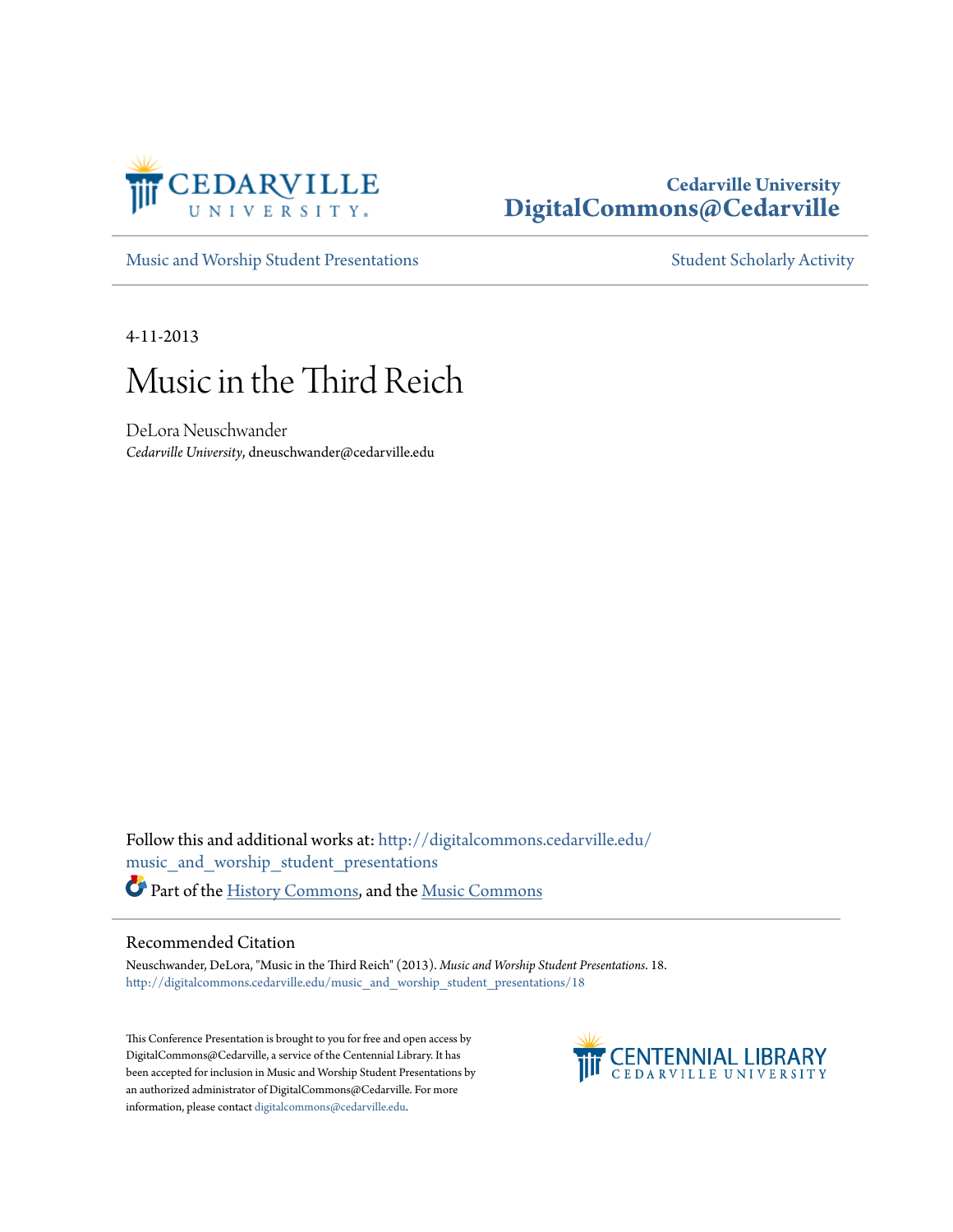

## **Cedarville University [DigitalCommons@Cedarville](http://digitalcommons.cedarville.edu?utm_source=digitalcommons.cedarville.edu%2Fmusic_and_worship_student_presentations%2F18&utm_medium=PDF&utm_campaign=PDFCoverPages)**

[Music and Worship Student Presentations](http://digitalcommons.cedarville.edu/music_and_worship_student_presentations?utm_source=digitalcommons.cedarville.edu%2Fmusic_and_worship_student_presentations%2F18&utm_medium=PDF&utm_campaign=PDFCoverPages) [Student Scholarly Activity](http://digitalcommons.cedarville.edu/music_student_scholarly_activity?utm_source=digitalcommons.cedarville.edu%2Fmusic_and_worship_student_presentations%2F18&utm_medium=PDF&utm_campaign=PDFCoverPages)

4-11-2013

## Music in the Third Reich

DeLora Neuschwander *Cedarville University*, dneuschwander@cedarville.edu

Follow this and additional works at: [http://digitalcommons.cedarville.edu/](http://digitalcommons.cedarville.edu/music_and_worship_student_presentations?utm_source=digitalcommons.cedarville.edu%2Fmusic_and_worship_student_presentations%2F18&utm_medium=PDF&utm_campaign=PDFCoverPages) [music\\_and\\_worship\\_student\\_presentations](http://digitalcommons.cedarville.edu/music_and_worship_student_presentations?utm_source=digitalcommons.cedarville.edu%2Fmusic_and_worship_student_presentations%2F18&utm_medium=PDF&utm_campaign=PDFCoverPages) Part of the [History Commons](http://network.bepress.com/hgg/discipline/489?utm_source=digitalcommons.cedarville.edu%2Fmusic_and_worship_student_presentations%2F18&utm_medium=PDF&utm_campaign=PDFCoverPages), and the [Music Commons](http://network.bepress.com/hgg/discipline/518?utm_source=digitalcommons.cedarville.edu%2Fmusic_and_worship_student_presentations%2F18&utm_medium=PDF&utm_campaign=PDFCoverPages)

## Recommended Citation

Neuschwander, DeLora, "Music in the Third Reich" (2013). *Music and Worship Student Presentations*. 18. [http://digitalcommons.cedarville.edu/music\\_and\\_worship\\_student\\_presentations/18](http://digitalcommons.cedarville.edu/music_and_worship_student_presentations/18?utm_source=digitalcommons.cedarville.edu%2Fmusic_and_worship_student_presentations%2F18&utm_medium=PDF&utm_campaign=PDFCoverPages)

This Conference Presentation is brought to you for free and open access by DigitalCommons@Cedarville, a service of the Centennial Library. It has been accepted for inclusion in Music and Worship Student Presentations by an authorized administrator of DigitalCommons@Cedarville. For more information, please contact [digitalcommons@cedarville.edu.](mailto:digitalcommons@cedarville.edu)

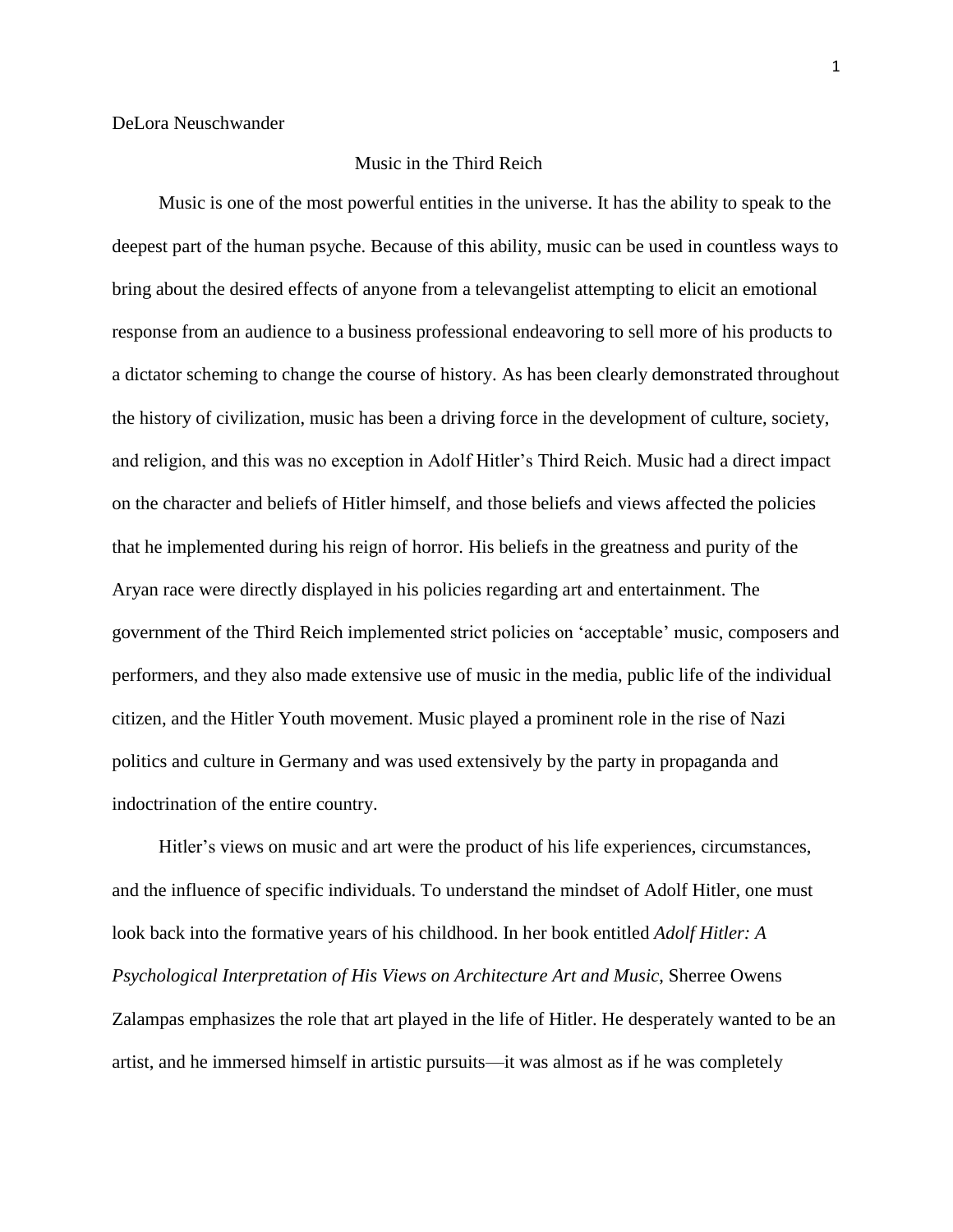## Music in the Third Reich

 Music is one of the most powerful entities in the universe. It has the ability to speak to the deepest part of the human psyche. Because of this ability, music can be used in countless ways to bring about the desired effects of anyone from a televangelist attempting to elicit an emotional response from an audience to a business professional endeavoring to sell more of his products to a dictator scheming to change the course of history. As has been clearly demonstrated throughout the history of civilization, music has been a driving force in the development of culture, society, and religion, and this was no exception in Adolf Hitler's Third Reich. Music had a direct impact on the character and beliefs of Hitler himself, and those beliefs and views affected the policies that he implemented during his reign of horror. His beliefs in the greatness and purity of the Aryan race were directly displayed in his policies regarding art and entertainment. The government of the Third Reich implemented strict policies on 'acceptable' music, composers and performers, and they also made extensive use of music in the media, public life of the individual citizen, and the Hitler Youth movement. Music played a prominent role in the rise of Nazi politics and culture in Germany and was used extensively by the party in propaganda and indoctrination of the entire country.

 Hitler's views on music and art were the product of his life experiences, circumstances, and the influence of specific individuals. To understand the mindset of Adolf Hitler, one must look back into the formative years of his childhood. In her book entitled *Adolf Hitler: A Psychological Interpretation of His Views on Architecture Art and Music*, Sherree Owens Zalampas emphasizes the role that art played in the life of Hitler. He desperately wanted to be an artist, and he immersed himself in artistic pursuits—it was almost as if he was completely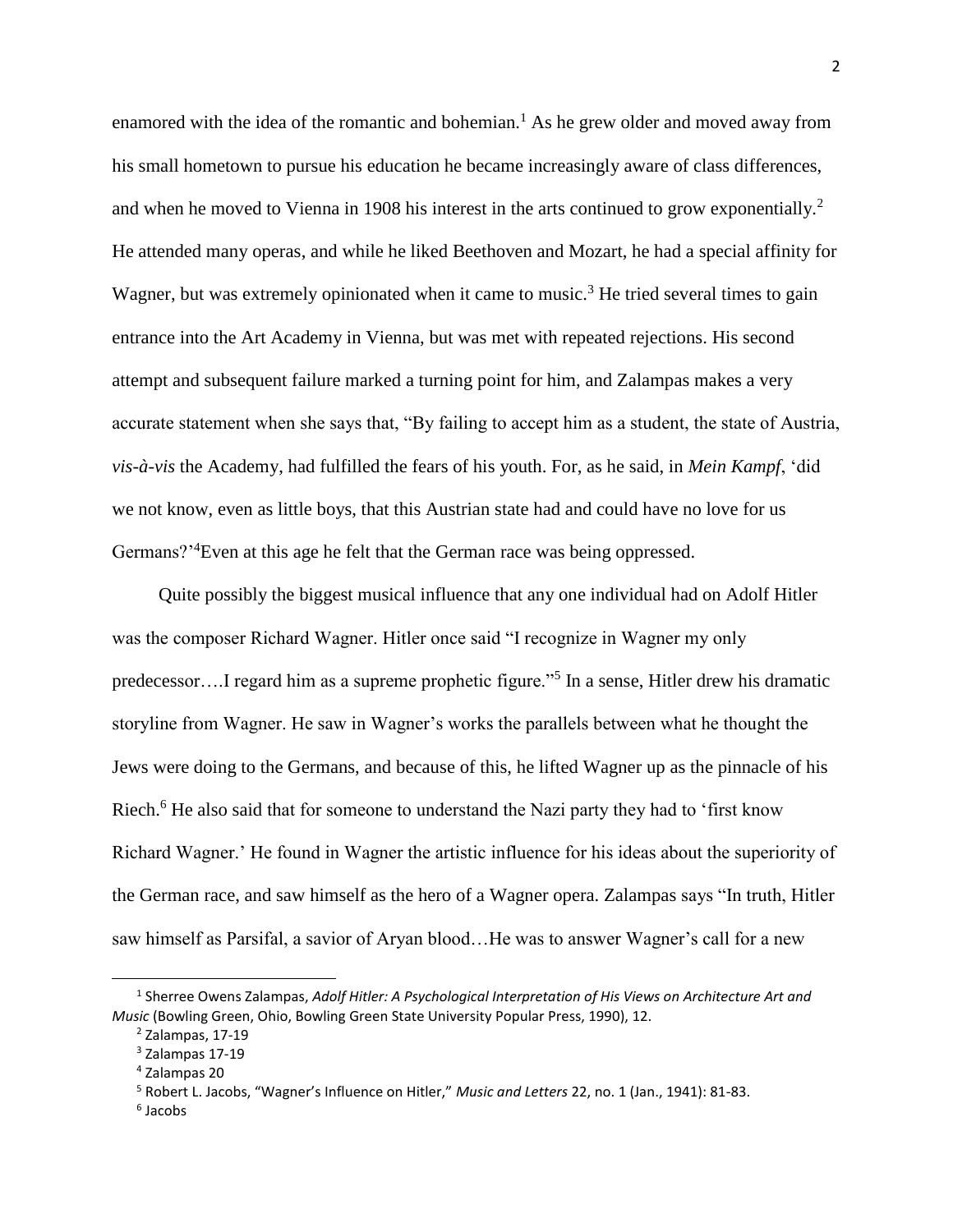enamored with the idea of the romantic and bohemian.<sup>1</sup> As he grew older and moved away from his small hometown to pursue his education he became increasingly aware of class differences, and when he moved to Vienna in 1908 his interest in the arts continued to grow exponentially.<sup>2</sup> He attended many operas, and while he liked Beethoven and Mozart, he had a special affinity for Wagner, but was extremely opinionated when it came to music.<sup>3</sup> He tried several times to gain entrance into the Art Academy in Vienna, but was met with repeated rejections. His second attempt and subsequent failure marked a turning point for him, and Zalampas makes a very accurate statement when she says that, "By failing to accept him as a student, the state of Austria, *vis-à-vis* the Academy, had fulfilled the fears of his youth. For, as he said, in *Mein Kampf*, 'did we not know, even as little boys, that this Austrian state had and could have no love for us Germans?<sup>24</sup>Even at this age he felt that the German race was being oppressed.

 Quite possibly the biggest musical influence that any one individual had on Adolf Hitler was the composer Richard Wagner. Hitler once said "I recognize in Wagner my only predecessor....I regard him as a supreme prophetic figure."<sup>5</sup> In a sense, Hitler drew his dramatic storyline from Wagner. He saw in Wagner's works the parallels between what he thought the Jews were doing to the Germans, and because of this, he lifted Wagner up as the pinnacle of his Riech.<sup>6</sup> He also said that for someone to understand the Nazi party they had to 'first know Richard Wagner.' He found in Wagner the artistic influence for his ideas about the superiority of the German race, and saw himself as the hero of a Wagner opera. Zalampas says "In truth, Hitler saw himself as Parsifal, a savior of Aryan blood…He was to answer Wagner's call for a new

 $\overline{\phantom{a}}$ 

<sup>&</sup>lt;sup>1</sup> Sherree Owens Zalampas, Adolf Hitler: A Psychological Interpretation of His Views on Architecture Art and *Music* (Bowling Green, Ohio, Bowling Green State University Popular Press, 1990), 12.

 $<sup>2</sup>$  Zalampas, 17-19</sup>

<sup>3</sup> Zalampas 17-19

<sup>4</sup> Zalampas 20

<sup>5</sup> Robert L. Jacobs, "Wagner's Influence on Hitler," *Music and Letters* 22, no. 1 (Jan., 1941): 81-83.

<sup>6</sup> Jacobs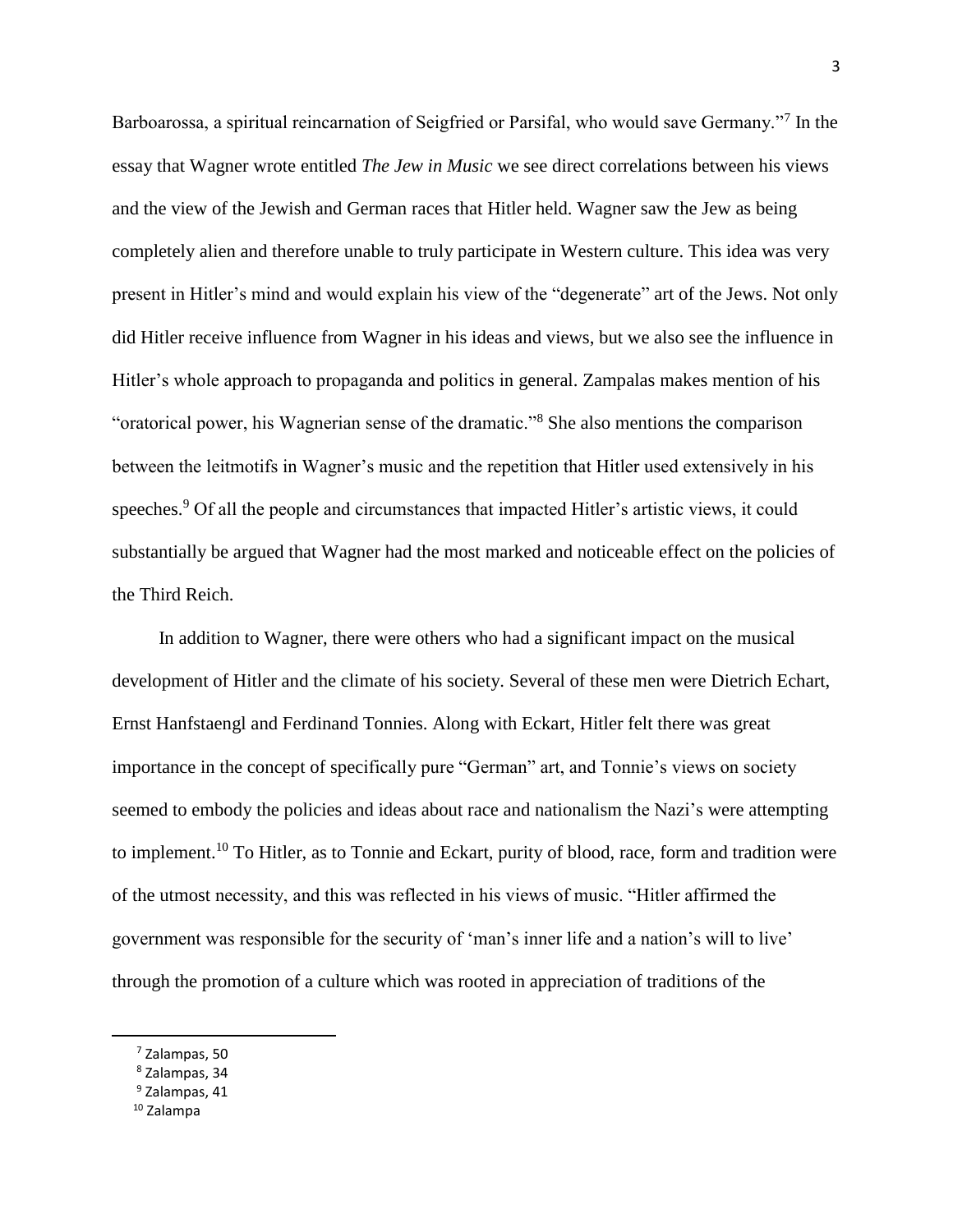Barboarossa, a spiritual reincarnation of Seigfried or Parsifal, who would save Germany."<sup>7</sup> In the essay that Wagner wrote entitled *The Jew in Music* we see direct correlations between his views and the view of the Jewish and German races that Hitler held. Wagner saw the Jew as being completely alien and therefore unable to truly participate in Western culture. This idea was very present in Hitler's mind and would explain his view of the "degenerate" art of the Jews. Not only did Hitler receive influence from Wagner in his ideas and views, but we also see the influence in Hitler's whole approach to propaganda and politics in general. Zampalas makes mention of his "oratorical power, his Wagnerian sense of the dramatic."<sup>8</sup> She also mentions the comparison between the leitmotifs in Wagner's music and the repetition that Hitler used extensively in his speeches.<sup>9</sup> Of all the people and circumstances that impacted Hitler's artistic views, it could substantially be argued that Wagner had the most marked and noticeable effect on the policies of the Third Reich.

 In addition to Wagner, there were others who had a significant impact on the musical development of Hitler and the climate of his society. Several of these men were Dietrich Echart, Ernst Hanfstaengl and Ferdinand Tonnies. Along with Eckart, Hitler felt there was great importance in the concept of specifically pure "German" art, and Tonnie's views on society seemed to embody the policies and ideas about race and nationalism the Nazi's were attempting to implement.<sup>10</sup> To Hitler, as to Tonnie and Eckart, purity of blood, race, form and tradition were of the utmost necessity, and this was reflected in his views of music. "Hitler affirmed the government was responsible for the security of 'man's inner life and a nation's will to live' through the promotion of a culture which was rooted in appreciation of traditions of the

<sup>7</sup> Zalampas, 50

<sup>8</sup> Zalampas, 34

<sup>&</sup>lt;sup>9</sup> Zalampas, 41

<sup>10</sup> Zalampa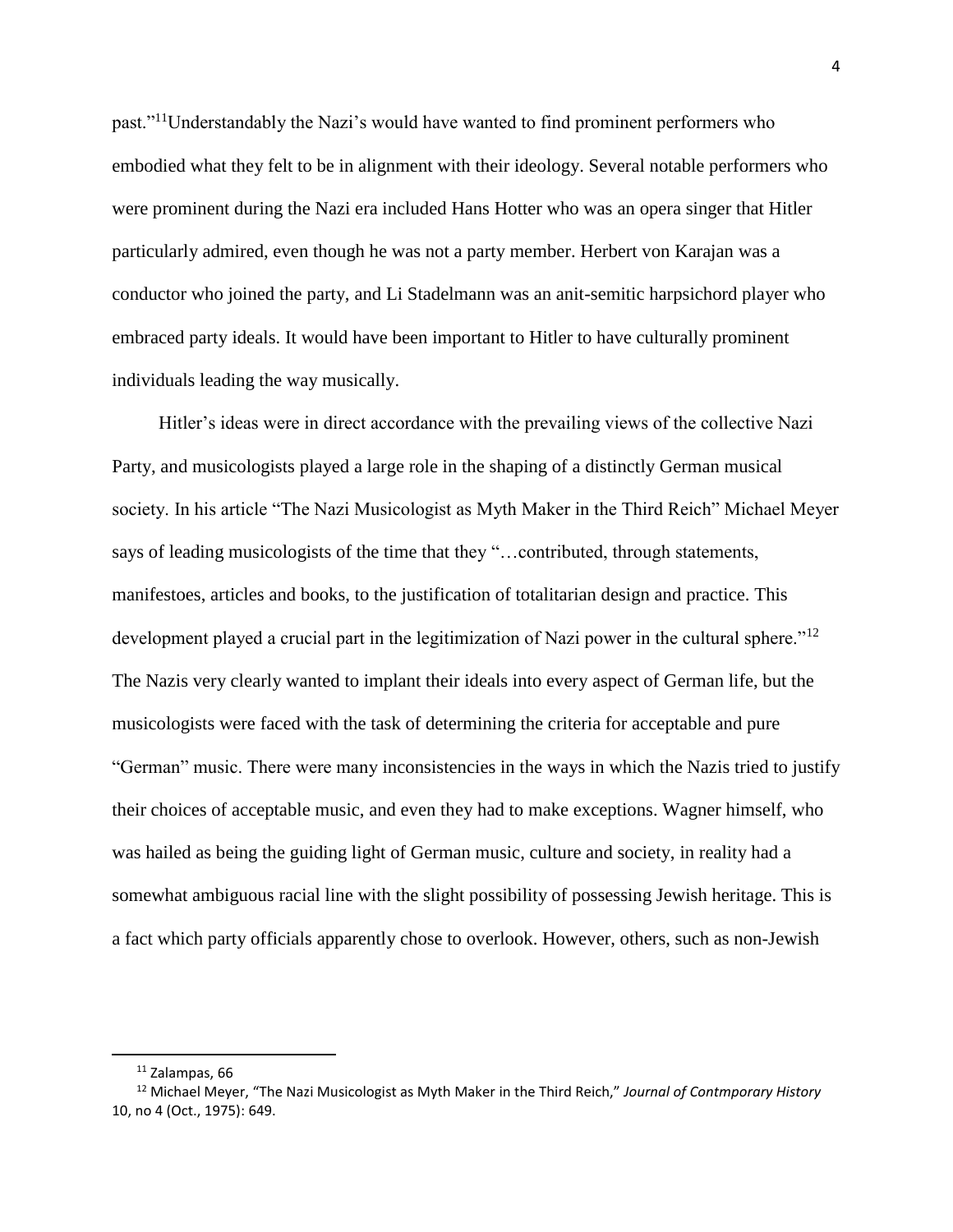past."<sup>11</sup>Understandably the Nazi's would have wanted to find prominent performers who embodied what they felt to be in alignment with their ideology. Several notable performers who were prominent during the Nazi era included Hans Hotter who was an opera singer that Hitler particularly admired, even though he was not a party member. Herbert von Karajan was a conductor who joined the party, and Li Stadelmann was an anit-semitic harpsichord player who embraced party ideals. It would have been important to Hitler to have culturally prominent individuals leading the way musically.

 Hitler's ideas were in direct accordance with the prevailing views of the collective Nazi Party, and musicologists played a large role in the shaping of a distinctly German musical society. In his article "The Nazi Musicologist as Myth Maker in the Third Reich" Michael Meyer says of leading musicologists of the time that they "…contributed, through statements, manifestoes, articles and books, to the justification of totalitarian design and practice. This development played a crucial part in the legitimization of Nazi power in the cultural sphere."<sup>12</sup> The Nazis very clearly wanted to implant their ideals into every aspect of German life, but the musicologists were faced with the task of determining the criteria for acceptable and pure "German" music. There were many inconsistencies in the ways in which the Nazis tried to justify their choices of acceptable music, and even they had to make exceptions. Wagner himself, who was hailed as being the guiding light of German music, culture and society, in reality had a somewhat ambiguous racial line with the slight possibility of possessing Jewish heritage. This is a fact which party officials apparently chose to overlook. However, others, such as non-Jewish

 $\overline{\phantom{a}}$ 

 $11$  Zalampas, 66

<sup>12</sup> Michael Meyer, "The Nazi Musicologist as Myth Maker in the Third Reich," *Journal of Contmporary History* 10, no 4 (Oct., 1975): 649.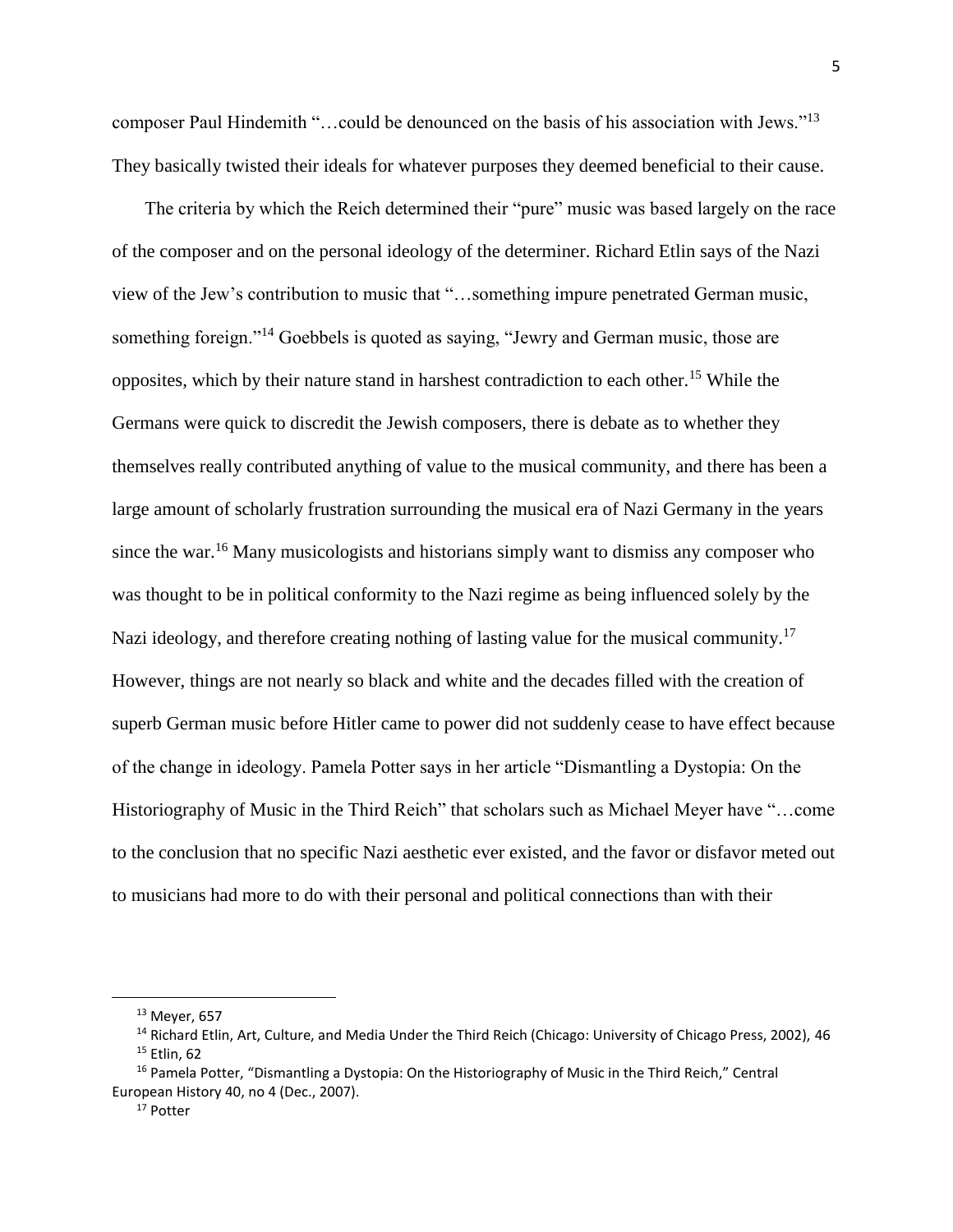composer Paul Hindemith "…could be denounced on the basis of his association with Jews."<sup>13</sup> They basically twisted their ideals for whatever purposes they deemed beneficial to their cause.

 The criteria by which the Reich determined their "pure" music was based largely on the race of the composer and on the personal ideology of the determiner. Richard Etlin says of the Nazi view of the Jew's contribution to music that "…something impure penetrated German music, something foreign."<sup>14</sup> Goebbels is quoted as saying, "Jewry and German music, those are opposites, which by their nature stand in harshest contradiction to each other.<sup>15</sup> While the Germans were quick to discredit the Jewish composers, there is debate as to whether they themselves really contributed anything of value to the musical community, and there has been a large amount of scholarly frustration surrounding the musical era of Nazi Germany in the years since the war. <sup>16</sup> Many musicologists and historians simply want to dismiss any composer who was thought to be in political conformity to the Nazi regime as being influenced solely by the Nazi ideology, and therefore creating nothing of lasting value for the musical community.<sup>17</sup> However, things are not nearly so black and white and the decades filled with the creation of superb German music before Hitler came to power did not suddenly cease to have effect because of the change in ideology. Pamela Potter says in her article "Dismantling a Dystopia: On the Historiography of Music in the Third Reich" that scholars such as Michael Meyer have "…come to the conclusion that no specific Nazi aesthetic ever existed, and the favor or disfavor meted out to musicians had more to do with their personal and political connections than with their

 $^{13}$  Meyer, 657

<sup>&</sup>lt;sup>14</sup> Richard Etlin, Art, Culture, and Media Under the Third Reich (Chicago: University of Chicago Press, 2002), 46 <sup>15</sup> Etlin, 62

<sup>&</sup>lt;sup>16</sup> Pamela Potter, "Dismantling a Dystopia: On the Historiography of Music in the Third Reich," Central European History 40, no 4 (Dec., 2007).

<sup>17</sup> Potter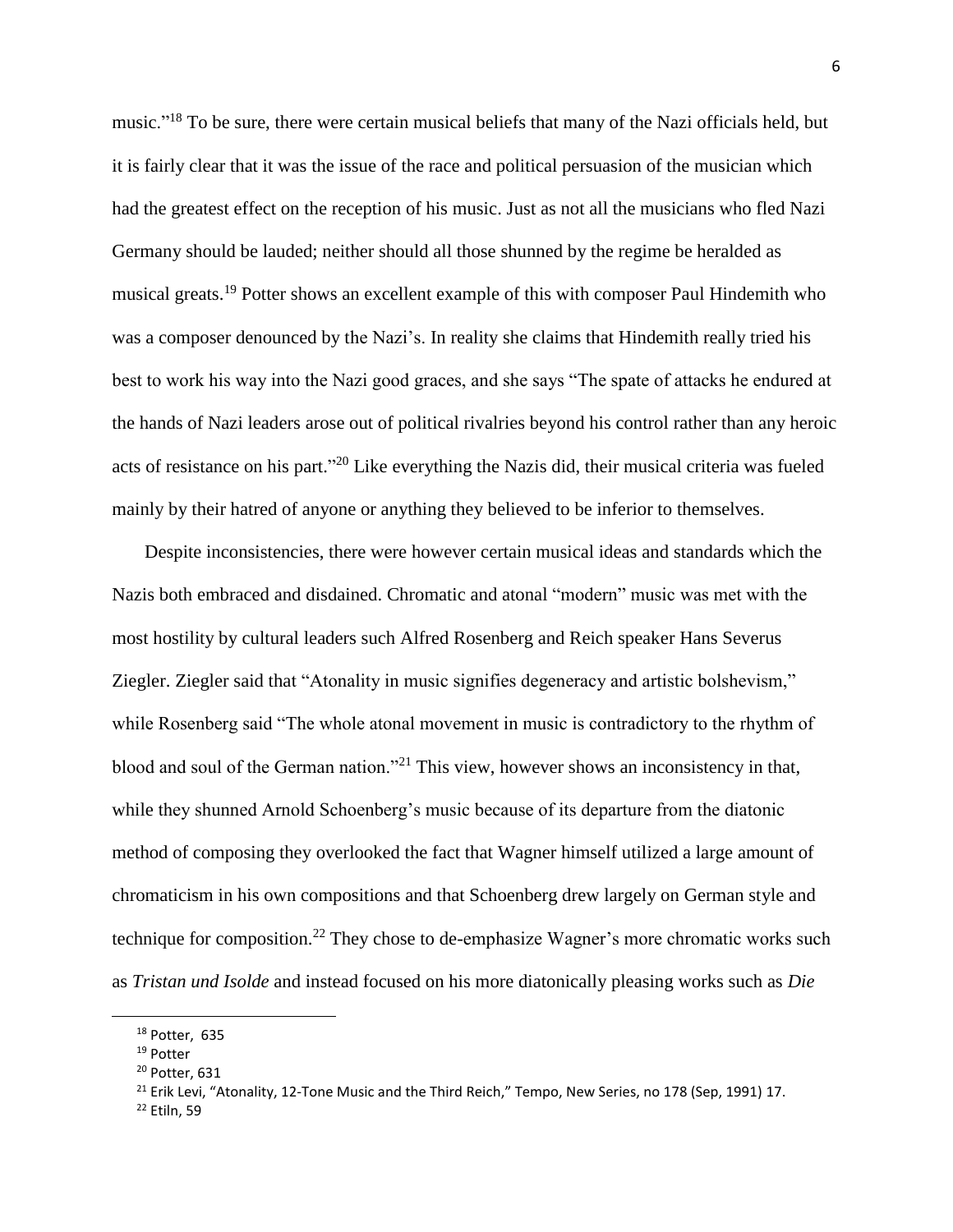music."<sup>18</sup> To be sure, there were certain musical beliefs that many of the Nazi officials held, but it is fairly clear that it was the issue of the race and political persuasion of the musician which had the greatest effect on the reception of his music. Just as not all the musicians who fled Nazi Germany should be lauded; neither should all those shunned by the regime be heralded as musical greats.<sup>19</sup> Potter shows an excellent example of this with composer Paul Hindemith who was a composer denounced by the Nazi's. In reality she claims that Hindemith really tried his best to work his way into the Nazi good graces, and she says "The spate of attacks he endured at the hands of Nazi leaders arose out of political rivalries beyond his control rather than any heroic acts of resistance on his part."<sup>20</sup> Like everything the Nazis did, their musical criteria was fueled mainly by their hatred of anyone or anything they believed to be inferior to themselves.

 Despite inconsistencies, there were however certain musical ideas and standards which the Nazis both embraced and disdained. Chromatic and atonal "modern" music was met with the most hostility by cultural leaders such Alfred Rosenberg and Reich speaker Hans Severus Ziegler. Ziegler said that "Atonality in music signifies degeneracy and artistic bolshevism," while Rosenberg said "The whole atonal movement in music is contradictory to the rhythm of blood and soul of the German nation."<sup>21</sup> This view, however shows an inconsistency in that, while they shunned Arnold Schoenberg's music because of its departure from the diatonic method of composing they overlooked the fact that Wagner himself utilized a large amount of chromaticism in his own compositions and that Schoenberg drew largely on German style and technique for composition.<sup>22</sup> They chose to de-emphasize Wagner's more chromatic works such as *Tristan und Isolde* and instead focused on his more diatonically pleasing works such as *Die* 

l

<sup>18</sup> Potter, 635

<sup>19</sup> Potter

<sup>20</sup> Potter, 631

<sup>&</sup>lt;sup>21</sup> Erik Levi, "Atonality, 12-Tone Music and the Third Reich," Tempo, New Series, no 178 (Sep, 1991) 17.

<sup>22</sup> Etiln, 59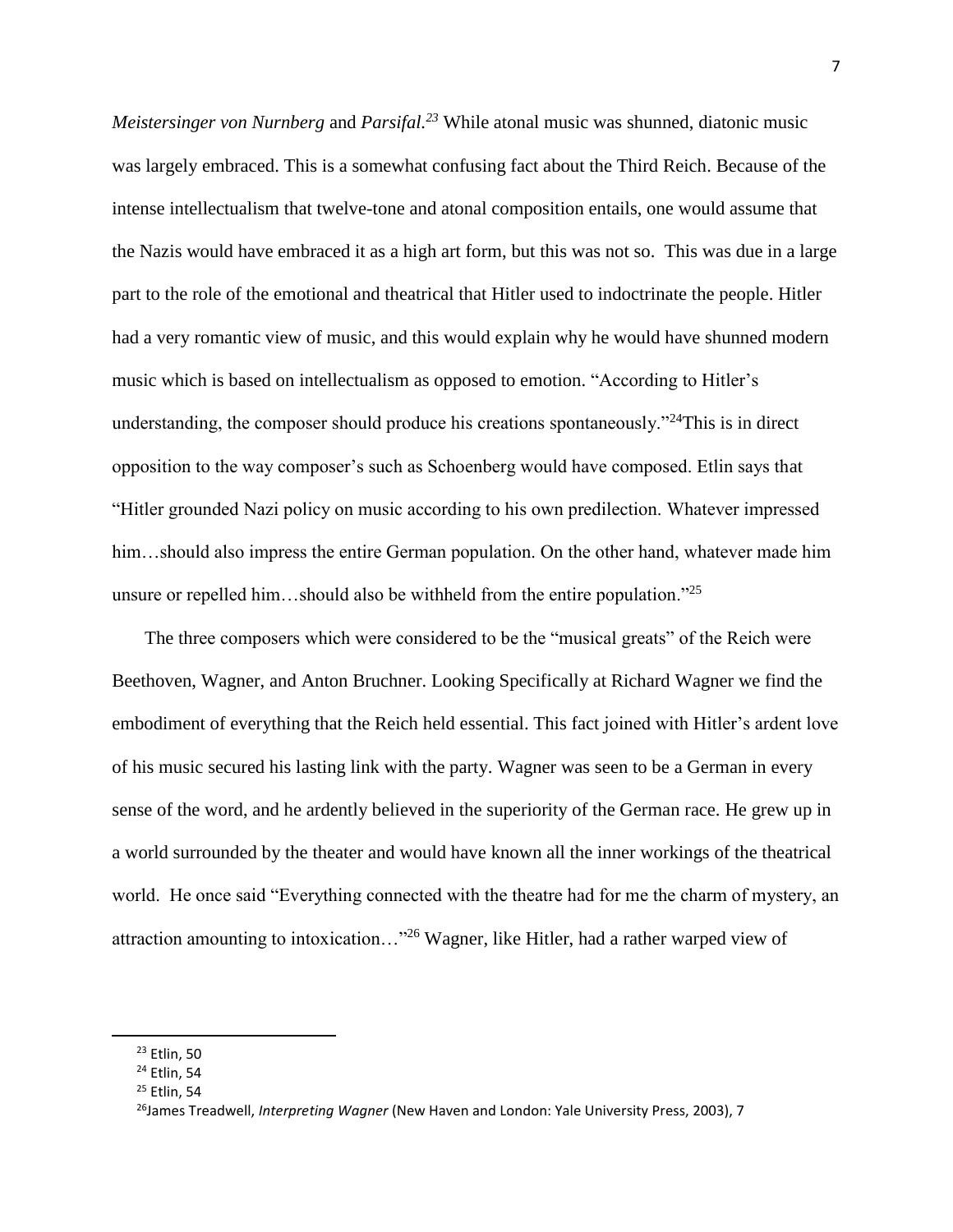*Meistersinger von Nurnberg* and *Parsifal.<sup>23</sup>* While atonal music was shunned, diatonic music was largely embraced. This is a somewhat confusing fact about the Third Reich. Because of the intense intellectualism that twelve-tone and atonal composition entails, one would assume that the Nazis would have embraced it as a high art form, but this was not so. This was due in a large part to the role of the emotional and theatrical that Hitler used to indoctrinate the people. Hitler had a very romantic view of music, and this would explain why he would have shunned modern music which is based on intellectualism as opposed to emotion. "According to Hitler's understanding, the composer should produce his creations spontaneously."<sup>24</sup>This is in direct opposition to the way composer's such as Schoenberg would have composed. Etlin says that "Hitler grounded Nazi policy on music according to his own predilection. Whatever impressed him...should also impress the entire German population. On the other hand, whatever made him unsure or repelled him...should also be withheld from the entire population.<sup>25</sup>

 The three composers which were considered to be the "musical greats" of the Reich were Beethoven, Wagner, and Anton Bruchner. Looking Specifically at Richard Wagner we find the embodiment of everything that the Reich held essential. This fact joined with Hitler's ardent love of his music secured his lasting link with the party. Wagner was seen to be a German in every sense of the word, and he ardently believed in the superiority of the German race. He grew up in a world surrounded by the theater and would have known all the inner workings of the theatrical world. He once said "Everything connected with the theatre had for me the charm of mystery, an attraction amounting to intoxication…"<sup>26</sup> Wagner, like Hitler, had a rather warped view of

<sup>23</sup> Etlin, 50

<sup>&</sup>lt;sup>24</sup> Etlin, 54

 $25$  Etlin, 54

<sup>26</sup>James Treadwell, *Interpreting Wagner* (New Haven and London: Yale University Press, 2003), 7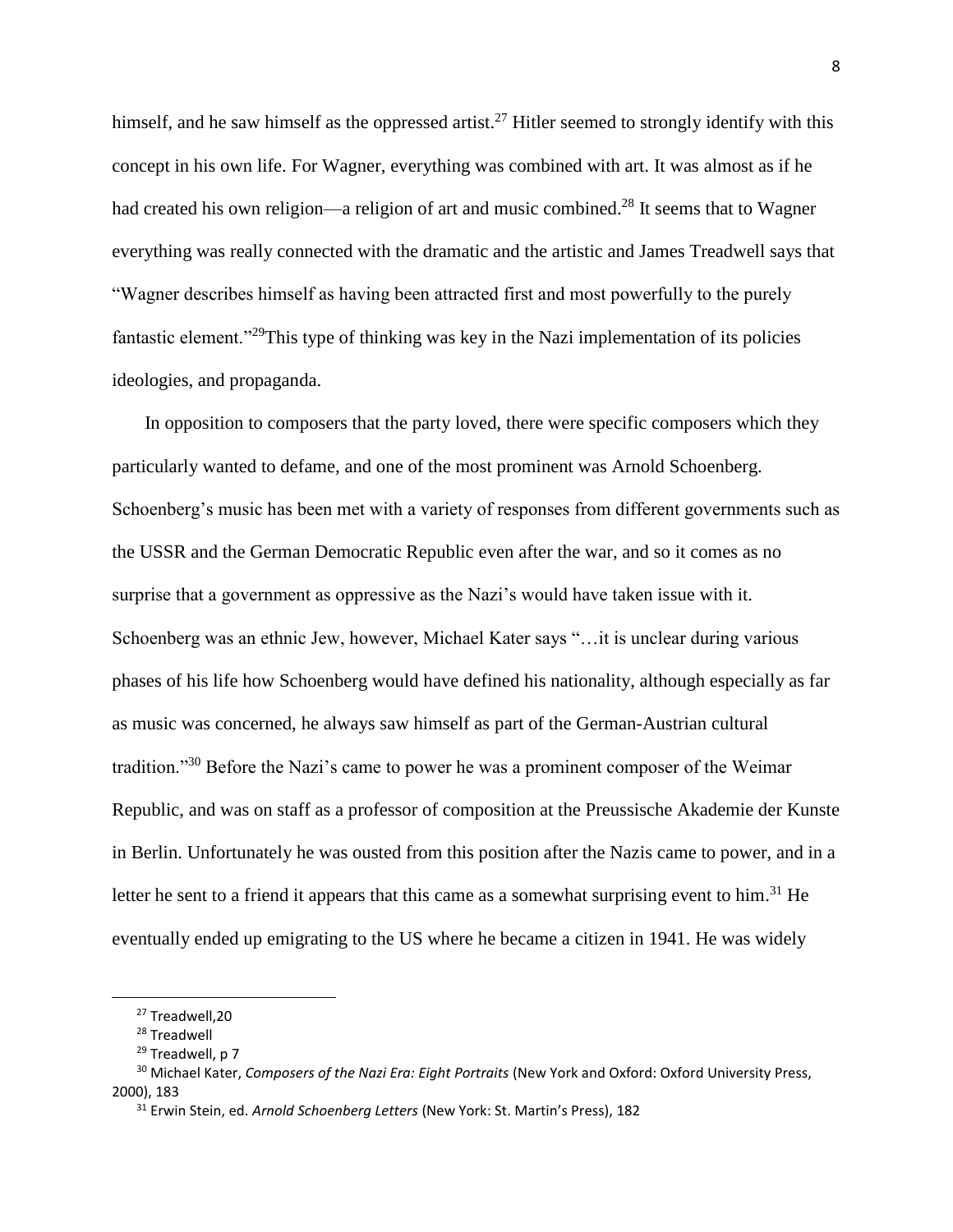himself, and he saw himself as the oppressed artist.<sup>27</sup> Hitler seemed to strongly identify with this concept in his own life. For Wagner, everything was combined with art. It was almost as if he had created his own religion—a religion of art and music combined.<sup>28</sup> It seems that to Wagner everything was really connected with the dramatic and the artistic and James Treadwell says that "Wagner describes himself as having been attracted first and most powerfully to the purely fantastic element."<sup>29</sup>This type of thinking was key in the Nazi implementation of its policies ideologies, and propaganda.

 In opposition to composers that the party loved, there were specific composers which they particularly wanted to defame, and one of the most prominent was Arnold Schoenberg. Schoenberg's music has been met with a variety of responses from different governments such as the USSR and the German Democratic Republic even after the war, and so it comes as no surprise that a government as oppressive as the Nazi's would have taken issue with it. Schoenberg was an ethnic Jew, however, Michael Kater says "…it is unclear during various phases of his life how Schoenberg would have defined his nationality, although especially as far as music was concerned, he always saw himself as part of the German-Austrian cultural tradition."<sup>30</sup> Before the Nazi's came to power he was a prominent composer of the Weimar Republic, and was on staff as a professor of composition at the Preussische Akademie der Kunste in Berlin. Unfortunately he was ousted from this position after the Nazis came to power, and in a letter he sent to a friend it appears that this came as a somewhat surprising event to him.<sup>31</sup> He eventually ended up emigrating to the US where he became a citizen in 1941. He was widely

<sup>&</sup>lt;sup>27</sup> Treadwell.20

<sup>28</sup> Treadwell

<sup>&</sup>lt;sup>29</sup> Treadwell, p 7

<sup>30</sup> Michael Kater, *Composers of the Nazi Era: Eight Portraits* (New York and Oxford: Oxford University Press, 2000), 183

<sup>31</sup> Erwin Stein, ed. *Arnold Schoenberg Letters* (New York: St. Martin's Press), 182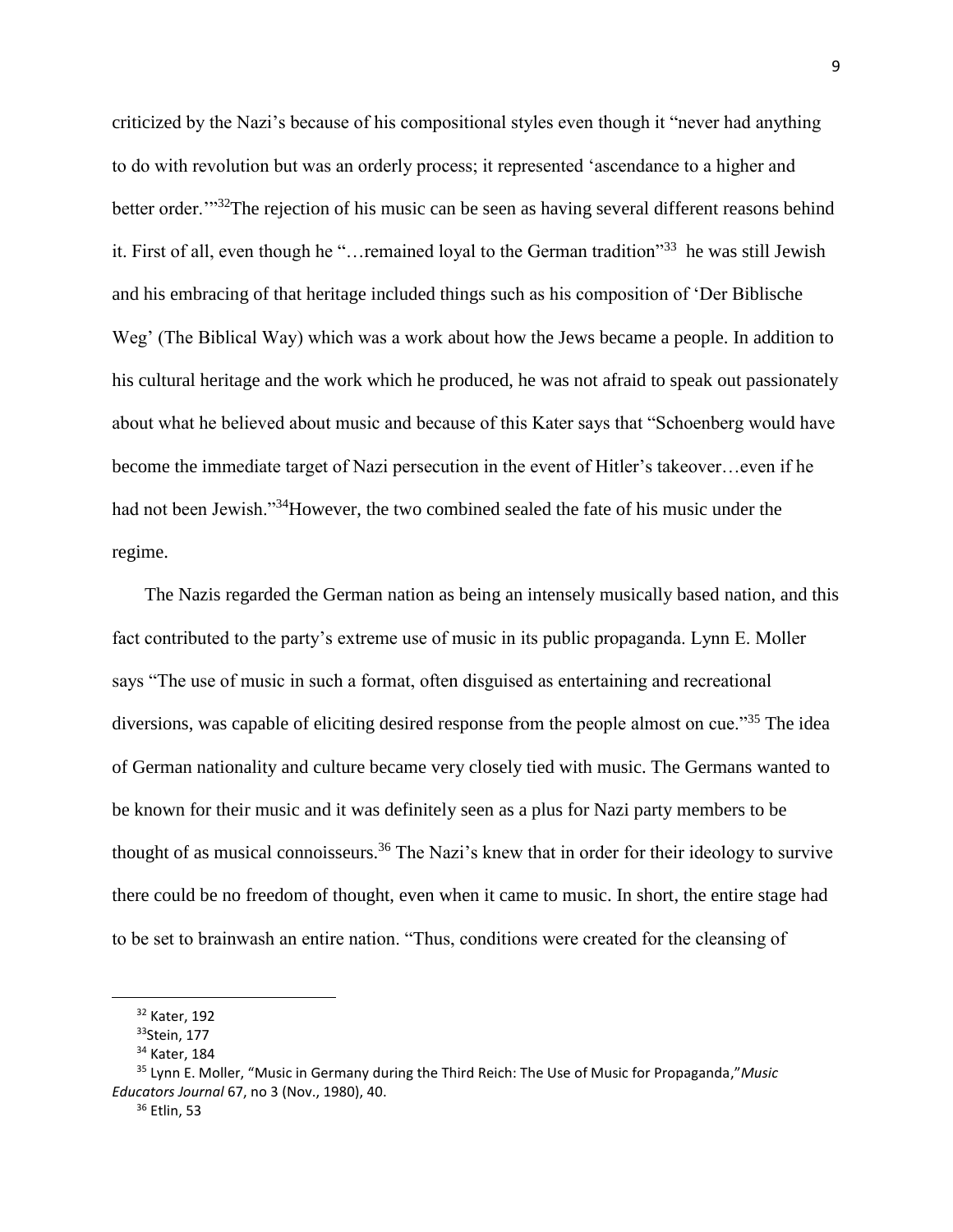criticized by the Nazi's because of his compositional styles even though it "never had anything to do with revolution but was an orderly process; it represented 'ascendance to a higher and better order.'"<sup>32</sup>The rejection of his music can be seen as having several different reasons behind it. First of all, even though he "... remained loyal to the German tradition"<sup>33</sup> he was still Jewish and his embracing of that heritage included things such as his composition of 'Der Biblische Weg' (The Biblical Way) which was a work about how the Jews became a people. In addition to his cultural heritage and the work which he produced, he was not afraid to speak out passionately about what he believed about music and because of this Kater says that "Schoenberg would have become the immediate target of Nazi persecution in the event of Hitler's takeover…even if he had not been Jewish."<sup>34</sup>However, the two combined sealed the fate of his music under the regime.

 The Nazis regarded the German nation as being an intensely musically based nation, and this fact contributed to the party's extreme use of music in its public propaganda. Lynn E. Moller says "The use of music in such a format, often disguised as entertaining and recreational diversions, was capable of eliciting desired response from the people almost on cue."<sup>35</sup> The idea of German nationality and culture became very closely tied with music. The Germans wanted to be known for their music and it was definitely seen as a plus for Nazi party members to be thought of as musical connoisseurs.<sup>36</sup> The Nazi's knew that in order for their ideology to survive there could be no freedom of thought, even when it came to music. In short, the entire stage had to be set to brainwash an entire nation. "Thus, conditions were created for the cleansing of

<sup>32</sup> Kater, 192

<sup>33</sup>Stein, 177

<sup>34</sup> Kater, 184

<sup>35</sup> Lynn E. Moller, "Music in Germany during the Third Reich: The Use of Music for Propaganda,"*Music Educators Journal* 67, no 3 (Nov., 1980), 40.

<sup>36</sup> Etlin, 53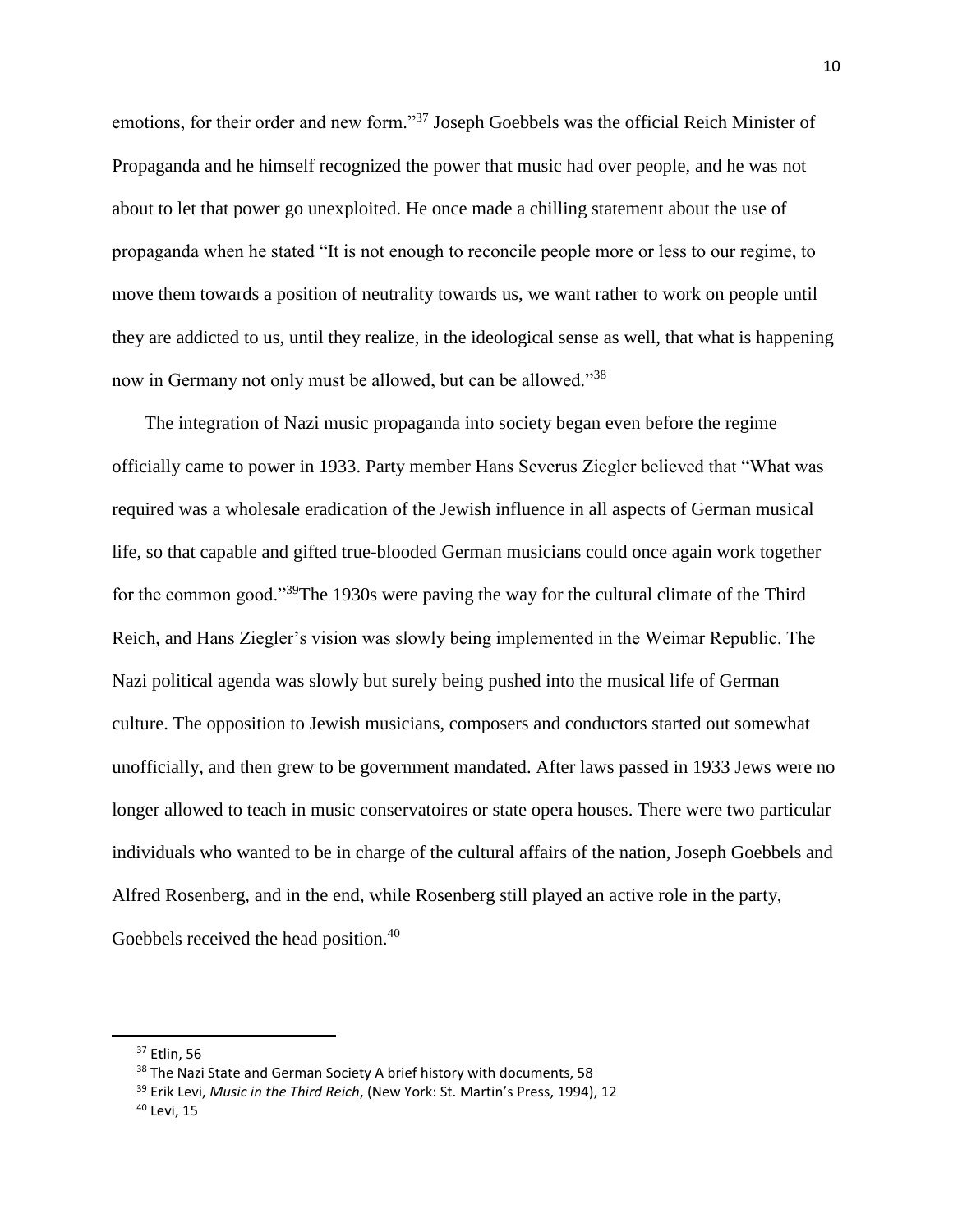emotions, for their order and new form."<sup>37</sup> Joseph Goebbels was the official Reich Minister of Propaganda and he himself recognized the power that music had over people, and he was not about to let that power go unexploited. He once made a chilling statement about the use of propaganda when he stated "It is not enough to reconcile people more or less to our regime, to move them towards a position of neutrality towards us, we want rather to work on people until they are addicted to us, until they realize, in the ideological sense as well, that what is happening now in Germany not only must be allowed, but can be allowed."<sup>38</sup>

 The integration of Nazi music propaganda into society began even before the regime officially came to power in 1933. Party member Hans Severus Ziegler believed that "What was required was a wholesale eradication of the Jewish influence in all aspects of German musical life, so that capable and gifted true-blooded German musicians could once again work together for the common good."<sup>39</sup>The 1930s were paving the way for the cultural climate of the Third Reich, and Hans Ziegler's vision was slowly being implemented in the Weimar Republic. The Nazi political agenda was slowly but surely being pushed into the musical life of German culture. The opposition to Jewish musicians, composers and conductors started out somewhat unofficially, and then grew to be government mandated. After laws passed in 1933 Jews were no longer allowed to teach in music conservatoires or state opera houses. There were two particular individuals who wanted to be in charge of the cultural affairs of the nation, Joseph Goebbels and Alfred Rosenberg, and in the end, while Rosenberg still played an active role in the party, Goebbels received the head position.<sup>40</sup>

<sup>37</sup> Etlin, 56

<sup>&</sup>lt;sup>38</sup> The Nazi State and German Society A brief history with documents, 58

<sup>39</sup> Erik Levi, *Music in the Third Reich*, (New York: St. Martin's Press, 1994), 12

<sup>40</sup> Levi, 15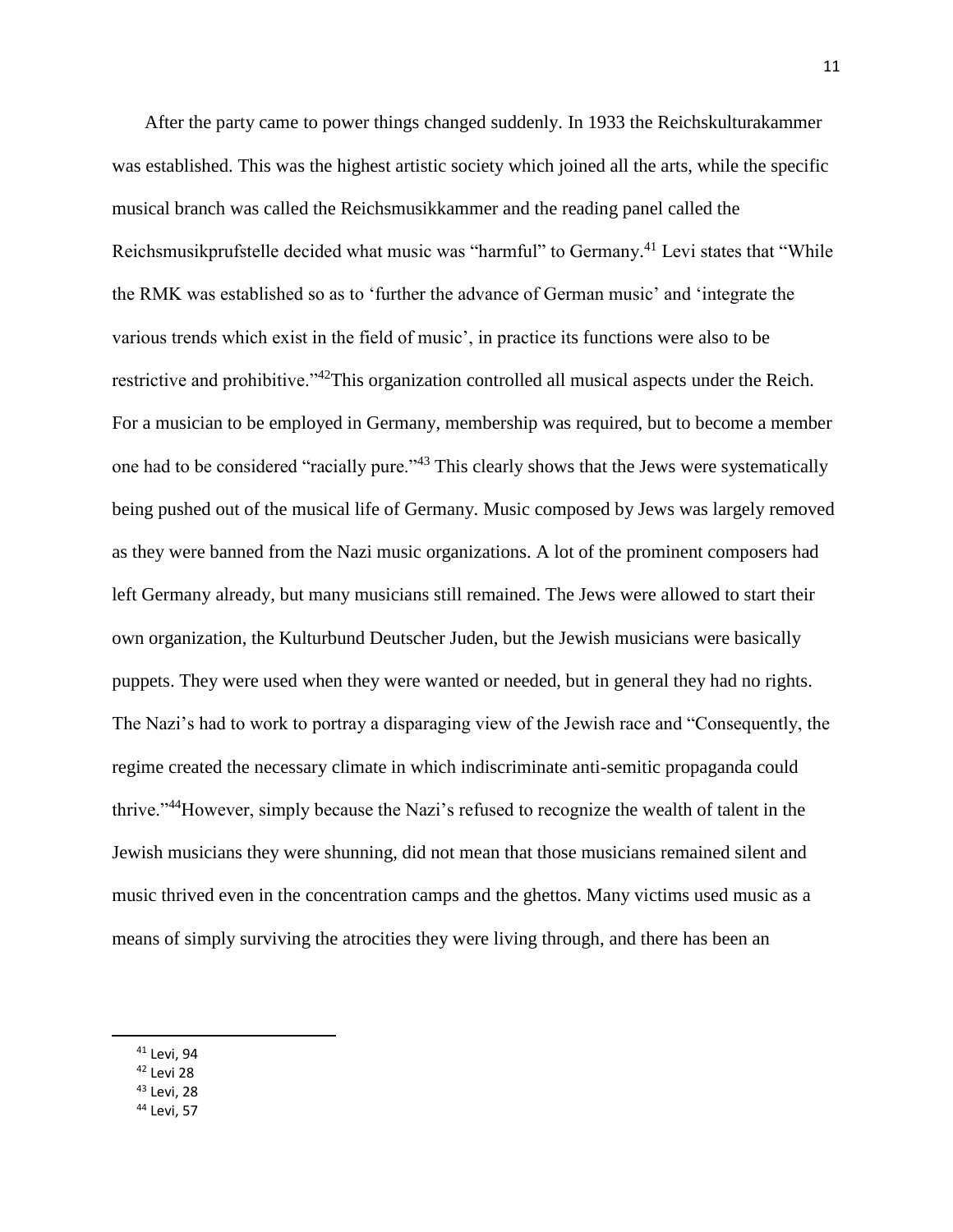After the party came to power things changed suddenly. In 1933 the Reichskulturakammer was established. This was the highest artistic society which joined all the arts, while the specific musical branch was called the Reichsmusikkammer and the reading panel called the Reichsmusikprufstelle decided what music was "harmful" to Germany.<sup>41</sup> Levi states that "While the RMK was established so as to 'further the advance of German music' and 'integrate the various trends which exist in the field of music', in practice its functions were also to be restrictive and prohibitive."<sup>42</sup>This organization controlled all musical aspects under the Reich. For a musician to be employed in Germany, membership was required, but to become a member one had to be considered "racially pure."<sup>43</sup> This clearly shows that the Jews were systematically being pushed out of the musical life of Germany. Music composed by Jews was largely removed as they were banned from the Nazi music organizations. A lot of the prominent composers had left Germany already, but many musicians still remained. The Jews were allowed to start their own organization, the Kulturbund Deutscher Juden, but the Jewish musicians were basically puppets. They were used when they were wanted or needed, but in general they had no rights. The Nazi's had to work to portray a disparaging view of the Jewish race and "Consequently, the regime created the necessary climate in which indiscriminate anti-semitic propaganda could thrive."<sup>44</sup>However, simply because the Nazi's refused to recognize the wealth of talent in the Jewish musicians they were shunning, did not mean that those musicians remained silent and music thrived even in the concentration camps and the ghettos. Many victims used music as a means of simply surviving the atrocities they were living through, and there has been an

- <sup>42</sup> Levi 28
- <sup>43</sup> Levi, 28
- <sup>44</sup> Levi, 57

<sup>41</sup> Levi, 94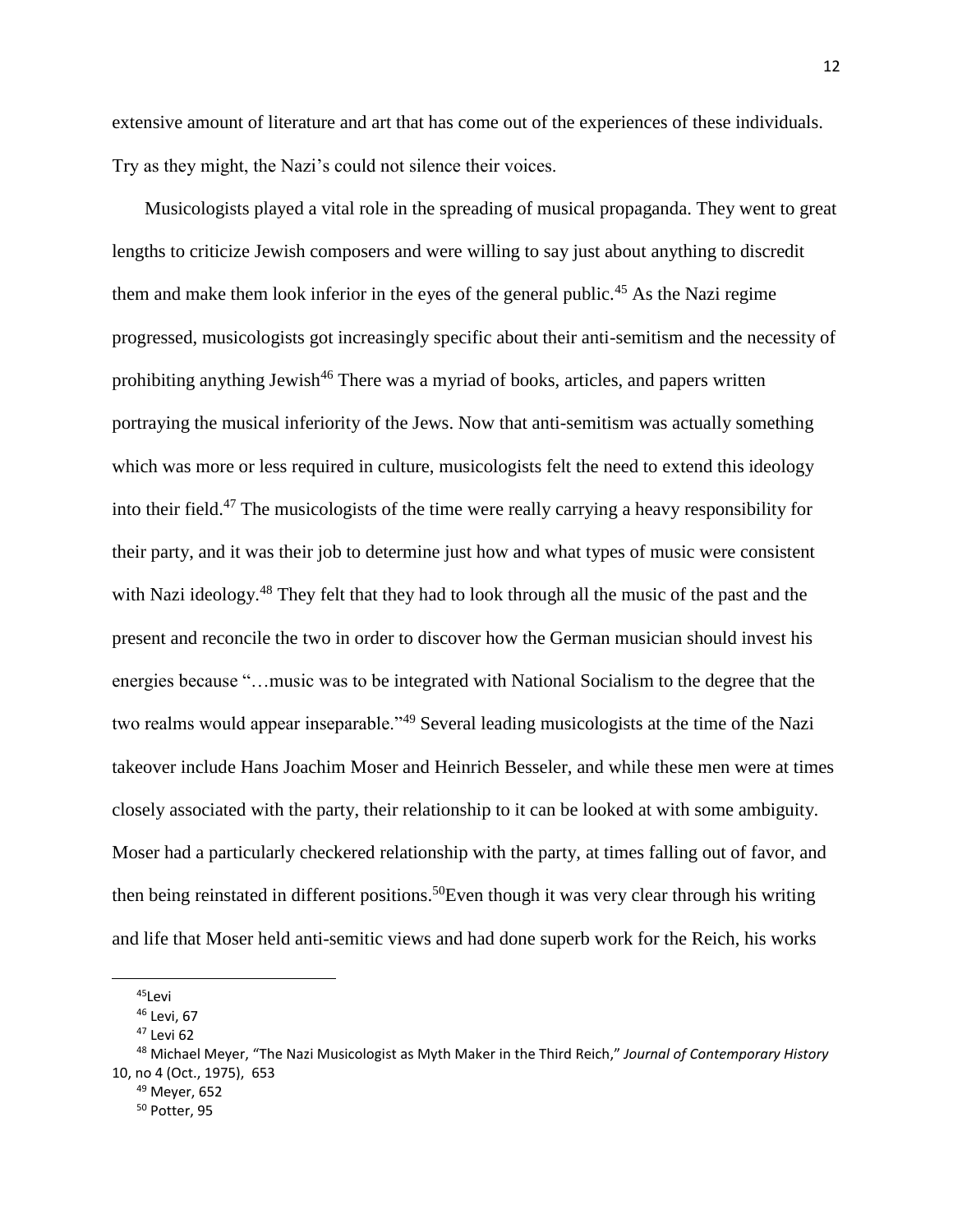extensive amount of literature and art that has come out of the experiences of these individuals. Try as they might, the Nazi's could not silence their voices.

 Musicologists played a vital role in the spreading of musical propaganda. They went to great lengths to criticize Jewish composers and were willing to say just about anything to discredit them and make them look inferior in the eyes of the general public.<sup>45</sup> As the Nazi regime progressed, musicologists got increasingly specific about their anti-semitism and the necessity of prohibiting anything Jewish<sup>46</sup> There was a myriad of books, articles, and papers written portraying the musical inferiority of the Jews. Now that anti-semitism was actually something which was more or less required in culture, musicologists felt the need to extend this ideology into their field.<sup>47</sup> The musicologists of the time were really carrying a heavy responsibility for their party, and it was their job to determine just how and what types of music were consistent with Nazi ideology.<sup>48</sup> They felt that they had to look through all the music of the past and the present and reconcile the two in order to discover how the German musician should invest his energies because "…music was to be integrated with National Socialism to the degree that the two realms would appear inseparable."<sup>49</sup> Several leading musicologists at the time of the Nazi takeover include Hans Joachim Moser and Heinrich Besseler, and while these men were at times closely associated with the party, their relationship to it can be looked at with some ambiguity. Moser had a particularly checkered relationship with the party, at times falling out of favor, and then being reinstated in different positions.<sup>50</sup>Even though it was very clear through his writing and life that Moser held anti-semitic views and had done superb work for the Reich, his works

 $\overline{\phantom{a}}$ 

<sup>49</sup> Meyer, 652

<sup>45</sup>Levi

<sup>46</sup> Levi, 67

 $47$  Levi 62

<sup>48</sup> Michael Meyer, "The Nazi Musicologist as Myth Maker in the Third Reich," *Journal of Contemporary History*  10, no 4 (Oct., 1975), 653

<sup>50</sup> Potter, 95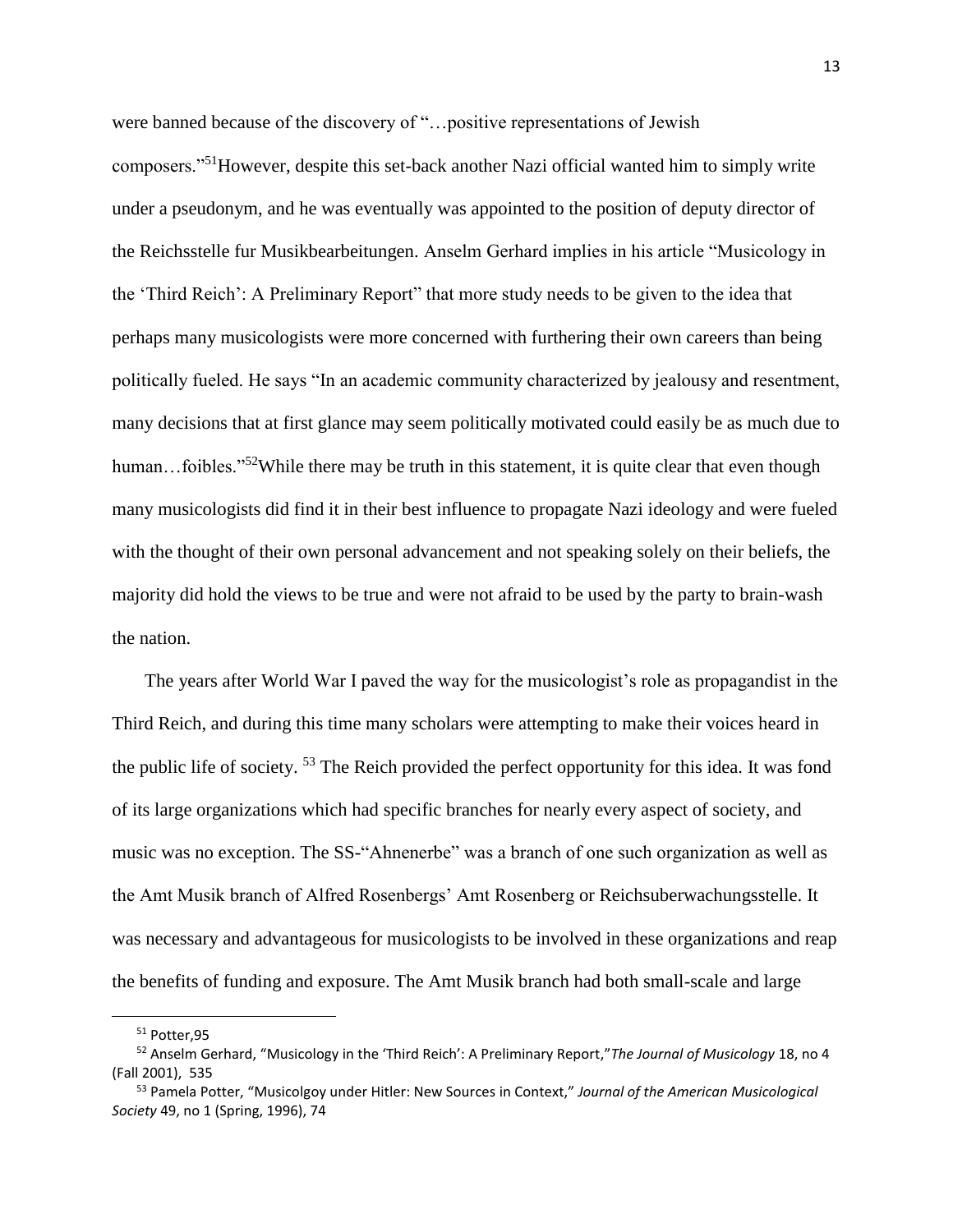were banned because of the discovery of "…positive representations of Jewish composers."<sup>51</sup>However, despite this set-back another Nazi official wanted him to simply write under a pseudonym, and he was eventually was appointed to the position of deputy director of the Reichsstelle fur Musikbearbeitungen. Anselm Gerhard implies in his article "Musicology in the 'Third Reich': A Preliminary Report" that more study needs to be given to the idea that perhaps many musicologists were more concerned with furthering their own careers than being politically fueled. He says "In an academic community characterized by jealousy and resentment, many decisions that at first glance may seem politically motivated could easily be as much due to human...foibles."<sup>52</sup>While there may be truth in this statement, it is quite clear that even though many musicologists did find it in their best influence to propagate Nazi ideology and were fueled with the thought of their own personal advancement and not speaking solely on their beliefs, the majority did hold the views to be true and were not afraid to be used by the party to brain-wash the nation.

 The years after World War I paved the way for the musicologist's role as propagandist in the Third Reich, and during this time many scholars were attempting to make their voices heard in the public life of society. <sup>53</sup> The Reich provided the perfect opportunity for this idea. It was fond of its large organizations which had specific branches for nearly every aspect of society, and music was no exception. The SS-"Ahnenerbe" was a branch of one such organization as well as the Amt Musik branch of Alfred Rosenbergs' Amt Rosenberg or Reichsuberwachungsstelle. It was necessary and advantageous for musicologists to be involved in these organizations and reap the benefits of funding and exposure. The Amt Musik branch had both small-scale and large

l

<sup>51</sup> Potter,95

<sup>52</sup> Anselm Gerhard, "Musicology in the 'Third Reich': A Preliminary Report,"*The Journal of Musicology* 18, no 4 (Fall 2001), 535

<sup>53</sup> Pamela Potter, "Musicolgoy under Hitler: New Sources in Context," *Journal of the American Musicological Society* 49, no 1 (Spring, 1996), 74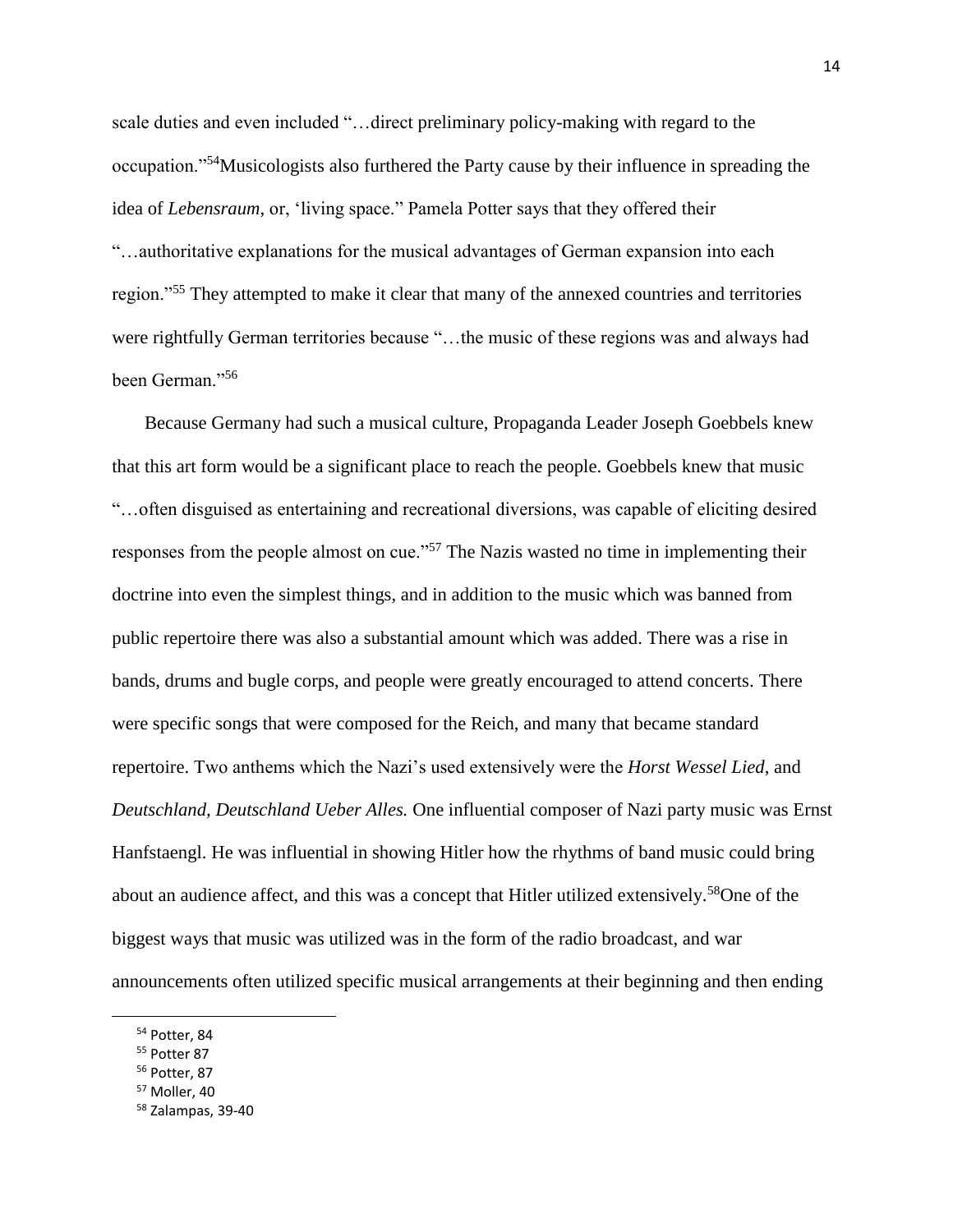scale duties and even included "…direct preliminary policy-making with regard to the occupation."<sup>54</sup>Musicologists also furthered the Party cause by their influence in spreading the idea of *Lebensraum,* or, 'living space." Pamela Potter says that they offered their "…authoritative explanations for the musical advantages of German expansion into each region."<sup>55</sup> They attempted to make it clear that many of the annexed countries and territories were rightfully German territories because "…the music of these regions was and always had been German."<sup>56</sup>

 Because Germany had such a musical culture, Propaganda Leader Joseph Goebbels knew that this art form would be a significant place to reach the people. Goebbels knew that music "…often disguised as entertaining and recreational diversions, was capable of eliciting desired responses from the people almost on cue."<sup>57</sup> The Nazis wasted no time in implementing their doctrine into even the simplest things, and in addition to the music which was banned from public repertoire there was also a substantial amount which was added. There was a rise in bands, drums and bugle corps, and people were greatly encouraged to attend concerts. There were specific songs that were composed for the Reich, and many that became standard repertoire. Two anthems which the Nazi's used extensively were the *Horst Wessel Lied*, and *Deutschland, Deutschland Ueber Alles.* One influential composer of Nazi party music was Ernst Hanfstaengl. He was influential in showing Hitler how the rhythms of band music could bring about an audience affect, and this was a concept that Hitler utilized extensively.<sup>58</sup>One of the biggest ways that music was utilized was in the form of the radio broadcast, and war announcements often utilized specific musical arrangements at their beginning and then ending

l

<sup>54</sup> Potter, 84

<sup>55</sup> Potter 87

<sup>56</sup> Potter, 87

 $57$  Moller, 40

<sup>58</sup> Zalampas, 39-40